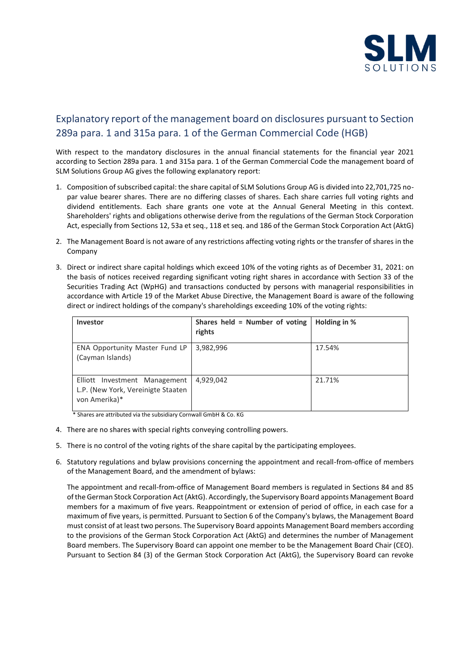

## Explanatory report of the management board on disclosures pursuant to Section 289a para. 1 and 315a para. 1 of the German Commercial Code (HGB)

With respect to the mandatory disclosures in the annual financial statements for the financial year 2021 according to Section 289a para. 1 and 315a para. 1 of the German Commercial Code the management board of SLM Solutions Group AG gives the following explanatory report:

- 1. Composition of subscribed capital: the share capital of SLM Solutions Group AG is divided into 22,701,725 nopar value bearer shares. There are no differing classes of shares. Each share carries full voting rights and dividend entitlements. Each share grants one vote at the Annual General Meeting in this context. Shareholders' rights and obligations otherwise derive from the regulations of the German Stock Corporation Act, especially from Sections 12, 53a et seq., 118 et seq. and 186 of the German Stock Corporation Act (AktG)
- 2. The Management Board is not aware of any restrictions affecting voting rights or the transfer of shares in the Company
- 3. Direct or indirect share capital holdings which exceed 10% of the voting rights as of December 31, 2021: on the basis of notices received regarding significant voting right shares in accordance with Section 33 of the Securities Trading Act (WpHG) and transactions conducted by persons with managerial responsibilities in accordance with Article 19 of the Market Abuse Directive, the Management Board is aware of the following direct or indirect holdings of the company's shareholdings exceeding 10% of the voting rights:

| Investor                                                                             | Shares held = Number of voting<br>rights | Holding in % |
|--------------------------------------------------------------------------------------|------------------------------------------|--------------|
| ENA Opportunity Master Fund LP<br>(Cayman Islands)                                   | 3,982,996                                | 17.54%       |
| Elliott Investment Management<br>L.P. (New York, Vereinigte Staaten<br>von Amerika)* | 4,929,042                                | 21.71%       |

\* Shares are attributed via the subsidiary Cornwall GmbH & Co. KG

- 4. There are no shares with special rights conveying controlling powers.
- 5. There is no control of the voting rights of the share capital by the participating employees.
- 6. Statutory regulations and bylaw provisions concerning the appointment and recall-from-office of members of the Management Board, and the amendment of bylaws:

The appointment and recall-from-office of Management Board members is regulated in Sections 84 and 85 of the German Stock Corporation Act (AktG). Accordingly, the Supervisory Board appoints Management Board members for a maximum of five years. Reappointment or extension of period of office, in each case for a maximum of five years, is permitted. Pursuant to Section 6 of the Company's bylaws, the Management Board must consist of at least two persons. The Supervisory Board appoints Management Board members according to the provisions of the German Stock Corporation Act (AktG) and determines the number of Management Board members. The Supervisory Board can appoint one member to be the Management Board Chair (CEO). Pursuant to Section 84 (3) of the German Stock Corporation Act (AktG), the Supervisory Board can revoke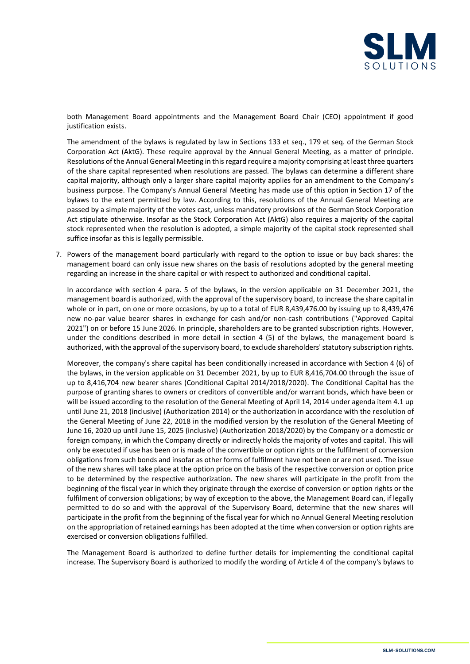

both Management Board appointments and the Management Board Chair (CEO) appointment if good justification exists.

The amendment of the bylaws is regulated by law in Sections 133 et seq., 179 et seq. of the German Stock Corporation Act (AktG). These require approval by the Annual General Meeting, as a matter of principle. Resolutions of the Annual General Meeting in this regard require a majority comprising at least three quarters of the share capital represented when resolutions are passed. The bylaws can determine a different share capital majority, although only a larger share capital majority applies for an amendment to the Company's business purpose. The Company's Annual General Meeting has made use of this option in Section 17 of the bylaws to the extent permitted by law. According to this, resolutions of the Annual General Meeting are passed by a simple majority of the votes cast, unless mandatory provisions of the German Stock Corporation Act stipulate otherwise. Insofar as the Stock Corporation Act (AktG) also requires a majority of the capital stock represented when the resolution is adopted, a simple majority of the capital stock represented shall suffice insofar as this is legally permissible.

7. Powers of the management board particularly with regard to the option to issue or buy back shares: the management board can only issue new shares on the basis of resolutions adopted by the general meeting regarding an increase in the share capital or with respect to authorized and conditional capital.

In accordance with section 4 para. 5 of the bylaws, in the version applicable on 31 December 2021, the management board is authorized, with the approval of the supervisory board, to increase the share capital in whole or in part, on one or more occasions, by up to a total of EUR 8,439,476.00 by issuing up to 8,439,476 new no-par value bearer shares in exchange for cash and/or non-cash contributions ("Approved Capital 2021") on or before 15 June 2026. In principle, shareholders are to be granted subscription rights. However, under the conditions described in more detail in section 4 (5) of the bylaws, the management board is authorized, with the approval of the supervisory board, to exclude shareholders' statutory subscription rights.

Moreover, the company's share capital has been conditionally increased in accordance with Section 4 (6) of the bylaws, in the version applicable on 31 December 2021, by up to EUR 8,416,704.00 through the issue of up to 8,416,704 new bearer shares (Conditional Capital 2014/2018/2020). The Conditional Capital has the purpose of granting shares to owners or creditors of convertible and/or warrant bonds, which have been or will be issued according to the resolution of the General Meeting of April 14, 2014 under agenda item 4.1 up until June 21, 2018 (inclusive) (Authorization 2014) or the authorization in accordance with the resolution of the General Meeting of June 22, 2018 in the modified version by the resolution of the General Meeting of June 16, 2020 up until June 15, 2025 (inclusive) (Authorization 2018/2020) by the Company or a domestic or foreign company, in which the Company directly or indirectly holds the majority of votes and capital. This will only be executed if use has been or is made of the convertible or option rights or the fulfilment of conversion obligations from such bonds and insofar as other forms of fulfilment have not been or are not used. The issue of the new shares will take place at the option price on the basis of the respective conversion or option price to be determined by the respective authorization. The new shares will participate in the profit from the beginning of the fiscal year in which they originate through the exercise of conversion or option rights or the fulfilment of conversion obligations; by way of exception to the above, the Management Board can, if legally permitted to do so and with the approval of the Supervisory Board, determine that the new shares will participate in the profit from the beginning of the fiscal year for which no Annual General Meeting resolution on the appropriation of retained earnings has been adopted at the time when conversion or option rights are exercised or conversion obligations fulfilled.

The Management Board is authorized to define further details for implementing the conditional capital increase. The Supervisory Board is authorized to modify the wording of Article 4 of the company's bylaws to